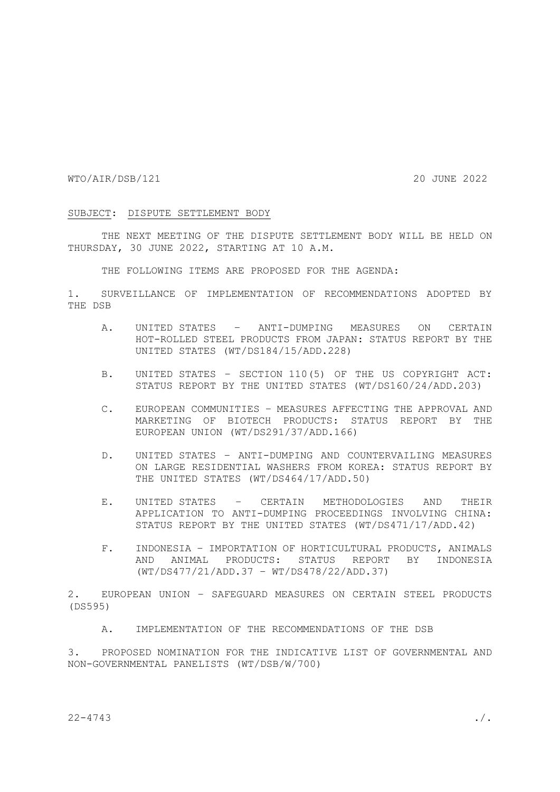WTO/AIR/DSB/121 20 JUNE 2022

## SUBJECT: DISPUTE SETTLEMENT BODY

THE NEXT MEETING OF THE DISPUTE SETTLEMENT BODY WILL BE HELD ON THURSDAY, 30 JUNE 2022, STARTING AT 10 A.M.

THE FOLLOWING ITEMS ARE PROPOSED FOR THE AGENDA:

1. SURVEILLANCE OF IMPLEMENTATION OF RECOMMENDATIONS ADOPTED BY THE DSB

- A. UNITED STATES ANTI-DUMPING MEASURES ON CERTAIN HOT-ROLLED STEEL PRODUCTS FROM JAPAN: STATUS REPORT BY THE UNITED STATES (WT/DS184/15/ADD.228)
- B. UNITED STATES SECTION 110(5) OF THE US COPYRIGHT ACT: STATUS REPORT BY THE UNITED STATES (WT/DS160/24/ADD.203)
- C. EUROPEAN COMMUNITIES MEASURES AFFECTING THE APPROVAL AND MARKETING OF BIOTECH PRODUCTS: STATUS REPORT BY THE EUROPEAN UNION (WT/DS291/37/ADD.166)
- D. UNITED STATES ANTI-DUMPING AND COUNTERVAILING MEASURES ON LARGE RESIDENTIAL WASHERS FROM KOREA: STATUS REPORT BY THE UNITED STATES (WT/DS464/17/ADD.50)
- E. UNITED STATES CERTAIN METHODOLOGIES AND THEIR APPLICATION TO ANTI-DUMPING PROCEEDINGS INVOLVING CHINA: STATUS REPORT BY THE UNITED STATES (WT/DS471/17/ADD.42)
- F. INDONESIA IMPORTATION OF HORTICULTURAL PRODUCTS, ANIMALS AND ANIMAL PRODUCTS: STATUS REPORT BY INDONESIA (WT/DS477/21/ADD.37 – WT/DS478/22/ADD.37)

2. EUROPEAN UNION – SAFEGUARD MEASURES ON CERTAIN STEEL PRODUCTS (DS595)

A. IMPLEMENTATION OF THE RECOMMENDATIONS OF THE DSB

3. PROPOSED NOMINATION FOR THE INDICATIVE LIST OF GOVERNMENTAL AND NON-GOVERNMENTAL PANELISTS (WT/DSB/W/700)